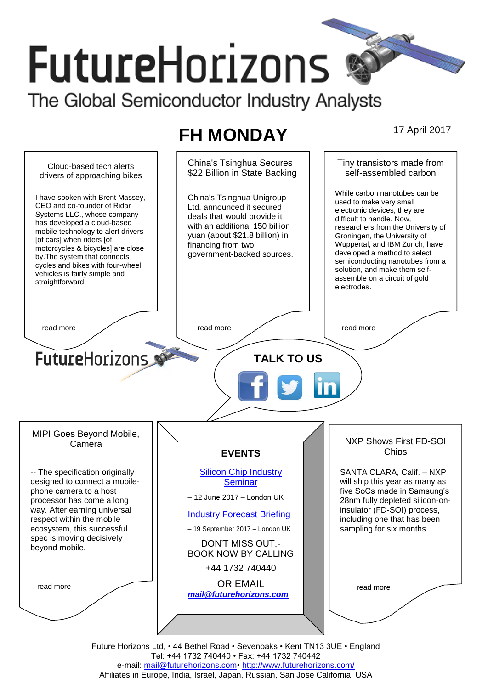# **FutureHorizons**

The Global Semiconductor Industry Analysts

# **FH MONDAY** 17 April 2017



Tel: +44 1732 740440 • Fax: +44 1732 740442 e-mail: mail@futurehorizons.com• http://www.futurehorizons.com/ Affiliates in Europe, India, Israel, Japan, Russian, San Jose California, USA